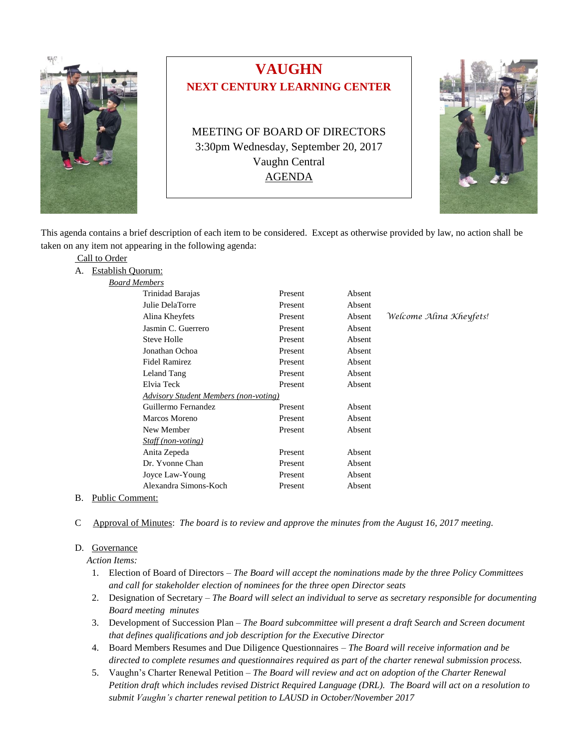

# **VAUGHN NEXT CENTURY LEARNING CENTER**

MEETING OF BOARD OF DIRECTORS 3:30pm Wednesday, September 20, 2017 Vaughn Central AGENDA



This agenda contains a brief description of each item to be considered. Except as otherwise provided by law, no action shall be taken on any item not appearing in the following agenda:

|  | Call to Order |
|--|---------------|
|  |               |

A. Establish Quorum: *Board Members*

| soara members |                                              |         |        |                         |  |  |
|---------------|----------------------------------------------|---------|--------|-------------------------|--|--|
|               | Trinidad Barajas                             | Present | Absent |                         |  |  |
|               | Julie DelaTorre                              | Present | Absent |                         |  |  |
|               | Alina Kheyfets                               | Present | Absent | Welcome Alina Kheyfets! |  |  |
|               | Jasmin C. Guerrero                           | Present | Absent |                         |  |  |
|               | Steve Holle                                  | Present | Absent |                         |  |  |
|               | Jonathan Ochoa                               | Present | Absent |                         |  |  |
|               | <b>Fidel Ramirez</b>                         | Present | Absent |                         |  |  |
|               | Leland Tang                                  | Present | Absent |                         |  |  |
|               | Elvia Teck                                   | Present | Absent |                         |  |  |
|               | <b>Advisory Student Members (non-voting)</b> |         |        |                         |  |  |
|               | Guillermo Fernandez                          | Present | Absent |                         |  |  |
|               | Marcos Moreno                                | Present | Absent |                         |  |  |
|               | New Member                                   | Present | Absent |                         |  |  |
|               | <i>Staff (non-voting)</i>                    |         |        |                         |  |  |
|               | Anita Zepeda                                 | Present | Absent |                         |  |  |
|               | Dr. Yvonne Chan                              | Present | Absent |                         |  |  |
|               | Joyce Law-Young                              | Present | Absent |                         |  |  |
|               | Alexandra Simons-Koch                        | Present | Absent |                         |  |  |
|               |                                              |         |        |                         |  |  |

- B. Public Comment:
- C Approval of Minutes: *The board is to review and approve the minutes from the August 16, 2017 meeting.*

## D. Governance

 *Action Items:*

- 1. Election of Board of Directors *The Board will accept the nominations made by the three Policy Committees and call for stakeholder election of nominees for the three open Director seats*
- 2. Designation of Secretary *The Board will select an individual to serve as secretary responsible for documenting Board meeting minutes*
- 3. Development of Succession Plan *The Board subcommittee will present a draft Search and Screen document that defines qualifications and job description for the Executive Director*
- 4. Board Members Resumes and Due Diligence Questionnaires *The Board will receive information and be directed to complete resumes and questionnaires required as part of the charter renewal submission process.*
- 5. Vaughn's Charter Renewal Petition *The Board will review and act on adoption of the Charter Renewal Petition draft which includes revised District Required Language (DRL). The Board will act on a resolution to submit Vaughn's charter renewal petition to LAUSD in October/November 2017*